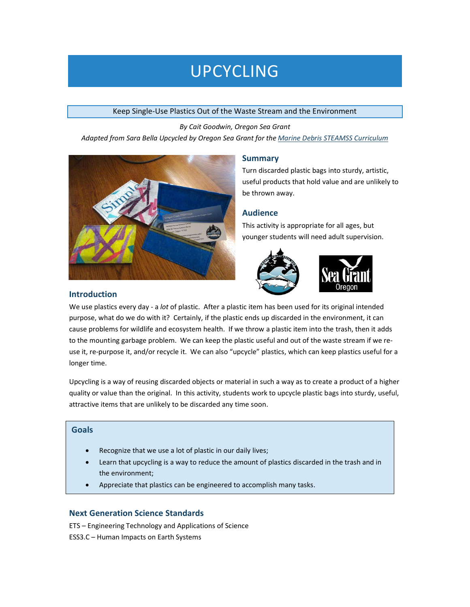# UPCYCLING

#### Keep Single-Use Plastics Out of the Waste Stream and the Environment

*By Cait Goodwin, Oregon Sea Grant Adapted from Sara Bella Upcycled by Oregon Sea Grant for th[e Marine Debris STEAMSS Curriculum](http://oregoncoaststem.oregonstate.edu/marine-debris-steamss/)*



## **Summary**

Turn discarded plastic bags into sturdy, artistic, useful products that hold value and are unlikely to be thrown away.

# **Audience**

This activity is appropriate for all ages, but younger students will need adult supervision.





#### **Introduction**

We use plastics every day - a *lot* of plastic. After a plastic item has been used for its original intended purpose, what do we do with it? Certainly, if the plastic ends up discarded in the environment, it can cause problems for wildlife and ecosystem health. If we throw a plastic item into the trash, then it adds to the mounting garbage problem. We can keep the plastic useful and out of the waste stream if we reuse it, re-purpose it, and/or recycle it. We can also "upcycle" plastics, which can keep plastics useful for a longer time.

Upcycling is a way of reusing discarded objects or material in such a way as to create a product of a higher quality or value than the original. In this activity, students work to upcycle plastic bags into sturdy, useful, attractive items that are unlikely to be discarded any time soon.

# **Goals**

- Recognize that we use a lot of plastic in our daily lives;
- Learn that upcycling is a way to reduce the amount of plastics discarded in the trash and in the environment;
- Appreciate that plastics can be engineered to accomplish many tasks.

## **Next Generation Science Standards**

ETS – Engineering Technology and Applications of Science ESS3.C – Human Impacts on Earth Systems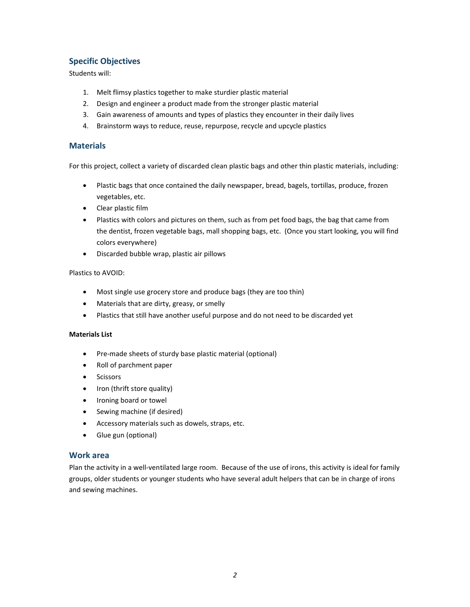# **Specific Objectives**

Students will:

- 1. Melt flimsy plastics together to make sturdier plastic material
- 2. Design and engineer a product made from the stronger plastic material
- 3. Gain awareness of amounts and types of plastics they encounter in their daily lives
- 4. Brainstorm ways to reduce, reuse, repurpose, recycle and upcycle plastics

## **Materials**

For this project, collect a variety of discarded clean plastic bags and other thin plastic materials, including:

- Plastic bags that once contained the daily newspaper, bread, bagels, tortillas, produce, frozen vegetables, etc.
- Clear plastic film
- Plastics with colors and pictures on them, such as from pet food bags, the bag that came from the dentist, frozen vegetable bags, mall shopping bags, etc. (Once you start looking, you will find colors everywhere)
- Discarded bubble wrap, plastic air pillows

#### Plastics to AVOID:

- Most single use grocery store and produce bags (they are too thin)
- Materials that are dirty, greasy, or smelly
- Plastics that still have another useful purpose and do not need to be discarded yet

#### **Materials List**

- Pre-made sheets of sturdy base plastic material (optional)
- Roll of parchment paper
- Scissors
- Iron (thrift store quality)
- Ironing board or towel
- Sewing machine (if desired)
- Accessory materials such as dowels, straps, etc.
- Glue gun (optional)

## **Work area**

Plan the activity in a well-ventilated large room. Because of the use of irons, this activity is ideal for family groups, older students or younger students who have several adult helpers that can be in charge of irons and sewing machines.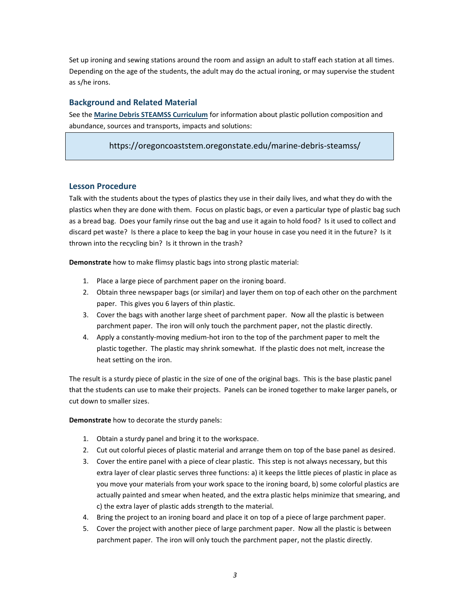Set up ironing and sewing stations around the room and assign an adult to staff each station at all times. Depending on the age of the students, the adult may do the actual ironing, or may supervise the student as s/he irons.

## **Background and Related Material**

See the **[Marine Debris STEAMSS Curriculum](https://oregoncoaststem.oregonstate.edu/marine-debris-steamss/)** for information about plastic pollution composition and abundance, sources and transports, impacts and solutions:

https://oregoncoaststem.oregonstate.edu/marine-debris-steamss/

### **Lesson Procedure**

Talk with the students about the types of plastics they use in their daily lives, and what they do with the plastics when they are done with them. Focus on plastic bags, or even a particular type of plastic bag such as a bread bag. Does your family rinse out the bag and use it again to hold food? Is it used to collect and discard pet waste? Is there a place to keep the bag in your house in case you need it in the future? Is it thrown into the recycling bin? Is it thrown in the trash?

**Demonstrate** how to make flimsy plastic bags into strong plastic material:

- 1. Place a large piece of parchment paper on the ironing board.
- 2. Obtain three newspaper bags (or similar) and layer them on top of each other on the parchment paper. This gives you 6 layers of thin plastic.
- 3. Cover the bags with another large sheet of parchment paper. Now all the plastic is between parchment paper. The iron will only touch the parchment paper, not the plastic directly.
- 4. Apply a constantly-moving medium-hot iron to the top of the parchment paper to melt the plastic together. The plastic may shrink somewhat. If the plastic does not melt, increase the heat setting on the iron.

The result is a sturdy piece of plastic in the size of one of the original bags. This is the base plastic panel that the students can use to make their projects. Panels can be ironed together to make larger panels, or cut down to smaller sizes.

**Demonstrate** how to decorate the sturdy panels:

- 1. Obtain a sturdy panel and bring it to the workspace.
- 2. Cut out colorful pieces of plastic material and arrange them on top of the base panel as desired.
- 3. Cover the entire panel with a piece of clear plastic. This step is not always necessary, but this extra layer of clear plastic serves three functions: a) it keeps the little pieces of plastic in place as you move your materials from your work space to the ironing board, b) some colorful plastics are actually painted and smear when heated, and the extra plastic helps minimize that smearing, and c) the extra layer of plastic adds strength to the material.
- 4. Bring the project to an ironing board and place it on top of a piece of large parchment paper.
- 5. Cover the project with another piece of large parchment paper. Now all the plastic is between parchment paper. The iron will only touch the parchment paper, not the plastic directly.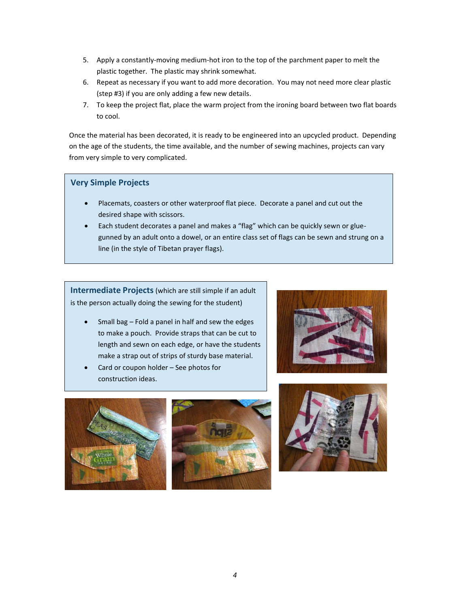- 5. Apply a constantly-moving medium-hot iron to the top of the parchment paper to melt the plastic together. The plastic may shrink somewhat.
- 6. Repeat as necessary if you want to add more decoration. You may not need more clear plastic (step #3) if you are only adding a few new details.
- 7. To keep the project flat, place the warm project from the ironing board between two flat boards to cool.

Once the material has been decorated, it is ready to be engineered into an upcycled product. Depending on the age of the students, the time available, and the number of sewing machines, projects can vary from very simple to very complicated.

## **Very Simple Projects**

- Placemats, coasters or other waterproof flat piece. Decorate a panel and cut out the desired shape with scissors.
- Each student decorates a panel and makes a "flag" which can be quickly sewn or gluegunned by an adult onto a dowel, or an entire class set of flags can be sewn and strung on a line (in the style of Tibetan prayer flags).

**Intermediate Projects**(which are still simple if an adult is the person actually doing the sewing for the student)

- Small bag Fold a panel in half and sew the edges to make a pouch. Provide straps that can be cut to length and sewn on each edge, or have the students make a strap out of strips of sturdy base material.
- Card or coupon holder See photos for construction ideas.







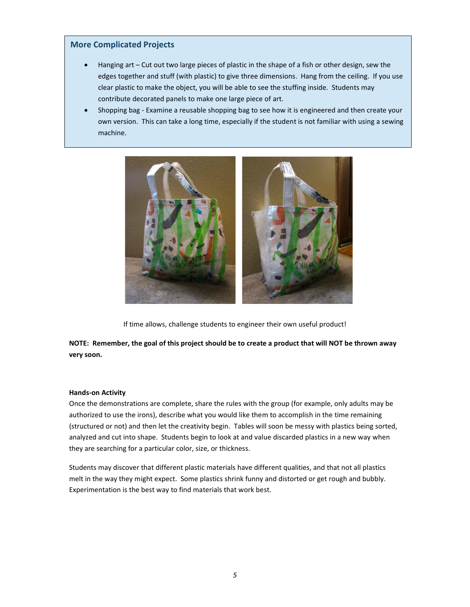### **More Complicated Projects**

- Hanging art Cut out two large pieces of plastic in the shape of a fish or other design, sew the edges together and stuff (with plastic) to give three dimensions. Hang from the ceiling. If you use clear plastic to make the object, you will be able to see the stuffing inside. Students may contribute decorated panels to make one large piece of art.
- Shopping bag Examine a reusable shopping bag to see how it is engineered and then create your own version. This can take a long time, especially if the student is not familiar with using a sewing machine.



If time allows, challenge students to engineer their own useful product!

**NOTE: Remember, the goal of this project should be to create a product that will NOT be thrown away very soon.**

#### **Hands-on Activity**

Once the demonstrations are complete, share the rules with the group (for example, only adults may be authorized to use the irons), describe what you would like them to accomplish in the time remaining (structured or not) and then let the creativity begin. Tables will soon be messy with plastics being sorted, analyzed and cut into shape. Students begin to look at and value discarded plastics in a new way when they are searching for a particular color, size, or thickness.

Students may discover that different plastic materials have different qualities, and that not all plastics melt in the way they might expect. Some plastics shrink funny and distorted or get rough and bubbly. Experimentation is the best way to find materials that work best.